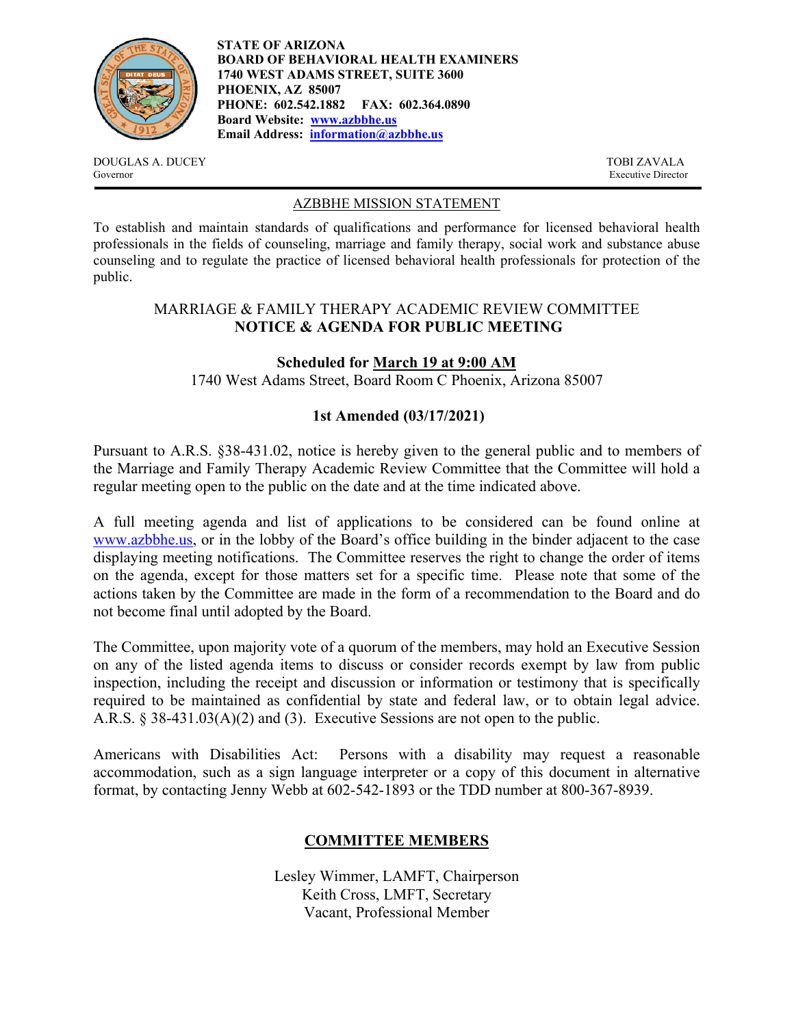

**STATE OF ARIZONA BOARD OF BEHAVIORAL HEALTH EXAMINERS 1740 WEST ADAMS STREET, SUITE 3600 PHOENIX, AZ 85007 PHONE: 602.542.1882 FAX: 602.364.0890 Board Website: www.azbbhe.us Email Address: information@azbbhe.us**

DOUGLAS A. DUCEY TOBI ZAVALA Governor Executive Director

#### AZBBHE MISSION STATEMENT

To establish and maintain standards of qualifications and performance for licensed behavioral health professionals in the fields of counseling, marriage and family therapy, social work and substance abuse counseling and to regulate the practice of licensed behavioral health professionals for protection of the public.

## MARRIAGE & FAMILY THERAPY ACADEMIC REVIEW COMMITTEE **NOTICE & AGENDA FOR PUBLIC MEETING**

### **Scheduled for March 19 at 9:00 AM**

1740 West Adams Street, Board Room C Phoenix, Arizona 85007

### **1st Amended (03/17/2021)**

Pursuant to A.R.S. §38-431.02, notice is hereby given to the general public and to members of the Marriage and Family Therapy Academic Review Committee that the Committee will hold a regular meeting open to the public on the date and at the time indicated above.

A full meeting agenda and list of applications to be considered can be found online at www.azbbhe.us, or in the lobby of the Board's office building in the binder adjacent to the case displaying meeting notifications. The Committee reserves the right to change the order of items on the agenda, except for those matters set for a specific time. Please note that some of the actions taken by the Committee are made in the form of a recommendation to the Board and do not become final until adopted by the Board.

The Committee, upon majority vote of a quorum of the members, may hold an Executive Session on any of the listed agenda items to discuss or consider records exempt by law from public inspection, including the receipt and discussion or information or testimony that is specifically required to be maintained as confidential by state and federal law, or to obtain legal advice. A.R.S. § 38-431.03(A)(2) and (3). Executive Sessions are not open to the public.

Americans with Disabilities Act: Persons with a disability may request a reasonable accommodation, such as a sign language interpreter or a copy of this document in alternative format, by contacting Jenny Webb at 602-542-1893 or the TDD number at 800-367-8939.

# **COMMITTEE MEMBERS**

Lesley Wimmer, LAMFT, Chairperson Keith Cross, LMFT, Secretary Vacant, Professional Member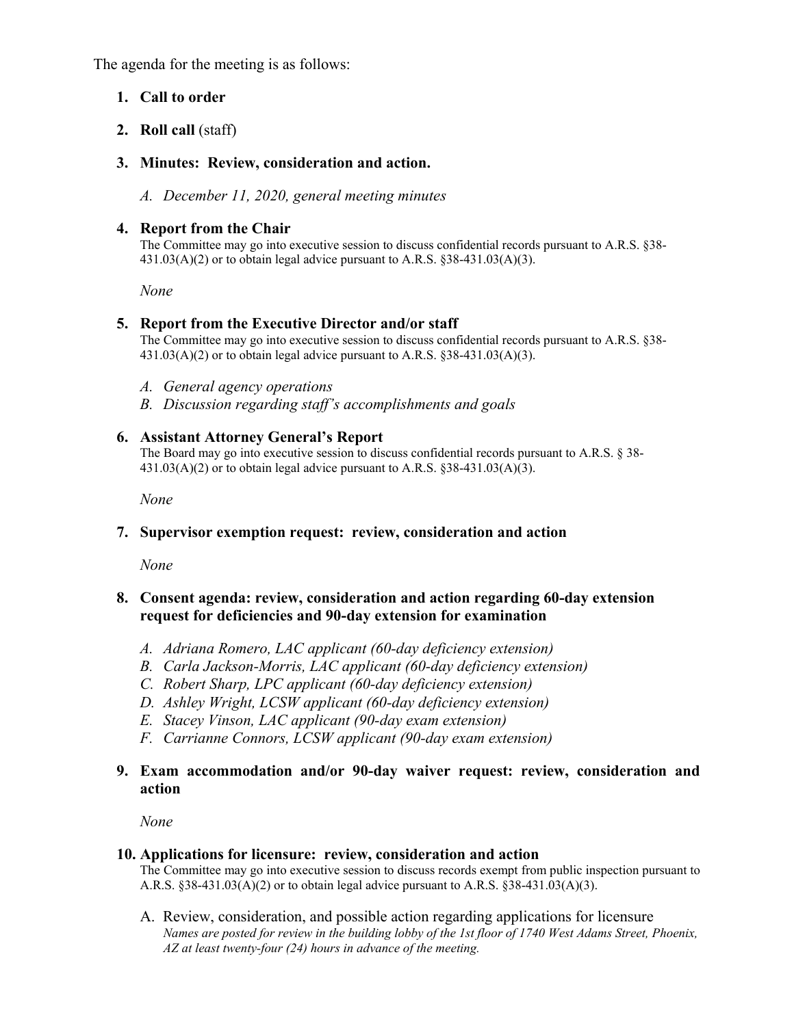The agenda for the meeting is as follows:

## **1. Call to order**

**2. Roll call** (staff)

## **3. Minutes: Review, consideration and action.**

*A. December 11, 2020, general meeting minutes* 

## **4. Report from the Chair**

The Committee may go into executive session to discuss confidential records pursuant to A.R.S. §38-  $431.03(A)(2)$  or to obtain legal advice pursuant to A.R.S. §38-431.03(A)(3).

 *None* 

### **5. Report from the Executive Director and/or staff**

The Committee may go into executive session to discuss confidential records pursuant to A.R.S. §38-  $431.03(A)(2)$  or to obtain legal advice pursuant to A.R.S. §38-431.03(A)(3).

- *A. General agency operations*
- *B. Discussion regarding staff's accomplishments and goals*

### **6. Assistant Attorney General's Report**

The Board may go into executive session to discuss confidential records pursuant to A.R.S. § 38-  $431.03(A)(2)$  or to obtain legal advice pursuant to A.R.S.  $838-431.03(A)(3)$ .

 *None* 

### **7. Supervisor exemption request: review, consideration and action**

*None* 

### **8. Consent agenda: review, consideration and action regarding 60-day extension request for deficiencies and 90-day extension for examination**

- *A. Adriana Romero, LAC applicant (60-day deficiency extension)*
- *B. Carla Jackson-Morris, LAC applicant (60-day deficiency extension)*
- *C. Robert Sharp, LPC applicant (60-day deficiency extension)*
- *D. Ashley Wright, LCSW applicant (60-day deficiency extension)*
- *E. Stacey Vinson, LAC applicant (90-day exam extension)*
- *F. Carrianne Connors, LCSW applicant (90-day exam extension)*

## **9. Exam accommodation and/or 90-day waiver request: review, consideration and action**

*None* 

### **10. Applications for licensure: review, consideration and action**

The Committee may go into executive session to discuss records exempt from public inspection pursuant to A.R.S.  $§38-431.03(A)(2)$  or to obtain legal advice pursuant to A.R.S.  $§38-431.03(A)(3)$ .

A. Review, consideration, and possible action regarding applications for licensure  *Names are posted for review in the building lobby of the 1st floor of 1740 West Adams Street, Phoenix, AZ at least twenty-four (24) hours in advance of the meeting.*